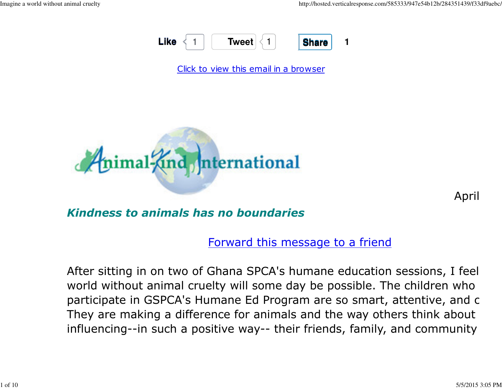

Click to view this email in a browser



April

Kindness to animals has no boundaries

Forward this message to a friend

After sitting in on two of Ghana SPCA's humane education sessions, I feel world without animal cruelty will some day be possible. The children whoparticipate in GSPCA's Humane Ed Program are so smart, attentive, and c They are making a difference for animals and the way others think about influencing--in such a positive way-- their friends, family, and community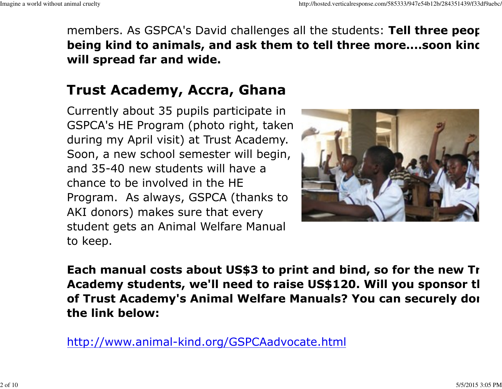members. As GSPCA's David challenges all the students: Tell three peor being kind to animals, and ask them to tell three more....soon kinc will spread far and wide.

### Trust Academy, Accra, Ghana

Currently about 35 pupils participate in GSPCA's HE Program (photo right, taken during my April visit) at Trust Academy. Soon, a new school semester will begin,and 35-40 new students will have achance to be involved in the HE Program. As always, GSPCA (thanks toAKI donors) makes sure that every student gets an Animal Welfare Manualto keep.



Each manual costs about US\$3 to print and bind, so for the new Tr Academy students, we'll need to raise US\$120. Will you sponsor tl of Trust Academy's Animal Welfare Manuals? You can securely donathe link below:

http://www.animal-kind.org/GSPCAadvocate.html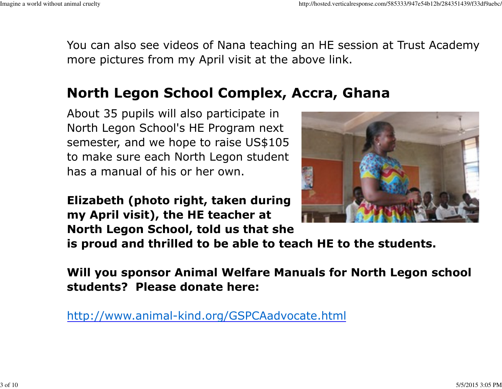You can also see videos of Nana teaching an HE session at Trust Academy amore pictures from my April visit at the above link.

### North Legon School Complex, Accra, Ghana

About 35 pupils will also participate in North Legon School's HE Program next semester, and we hope to raise US\$105 to make sure each North Legon studenthas a manual of his or her own.

Elizabeth (photo right, taken duringmy April visit), the HE teacher atNorth Legon School, told us that she



is proud and thrilled to be able to teach HE to the students.

Will you sponsor Animal Welfare Manuals for North Legon schoolstudents? Please donate here:

http://www.animal-kind.org/GSPCAadvocate.html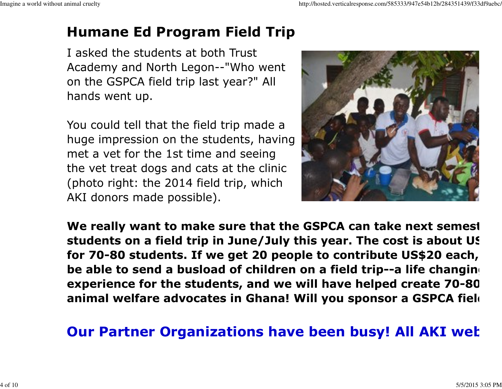# Humane Ed Program Field Trip

I asked the students at both TrustAcademy and North Legon--"Who wenton the GSPCA field trip last year?" Allhands went up.

You could tell that the field trip made a huge impression on the students, havingmet a vet for the 1st time and seeing the vet treat dogs and cats at the clinic (photo right: the 2014 field trip, whichAKI donors made possible).



We really want to make sure that the GSPCA can take next semest students on a field trip in June/July this year. The cost is about US\$for 70-80 students. If we get 20 people to contribute US\$20 each, wbe able to send a busload of children on a field trip--a life changing experience for the students, and we will have helped create 70-80 animal welfare advocates in Ghana! Will you sponsor a GSPCA fiel

## Our Partner Organizations have been busy! All AKI wet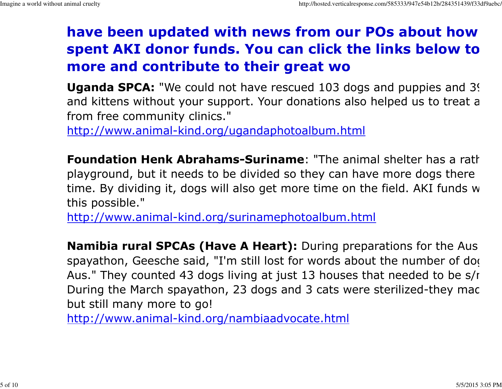# have been updated with news from our POs about how spent AKI donor funds. You can click the links below to more and contribute to their great wo

**Uganda SPCA:** "We could not have rescued 103 dogs and puppies and 3? and kittens without your support. Your donations also helped us to treat a from free community clinics."

http://www.animal-kind.org/ugandaphotoalbum.html

**Foundation Henk Abrahams-Suriname:** "The animal shelter has a rather playground, but it needs to be divided so they can have more dogs there time. By dividing it, dogs will also get more time on the field. AKI funds w this possible."

http://www.animal-kind.org/surinamephotoalbum.html

Namibia rural SPCAs (Have A Heart): During preparations for the Ausspayathon, Geesche said, "I'm still lost for words about the number of dog Aus." They counted 43 dogs living at just 13 houses that needed to be s/r During the March spayathon, 23 dogs and 3 cats were sterilized-they mac but still many more to go!

http://www.animal-kind.org/nambiaadvocate.html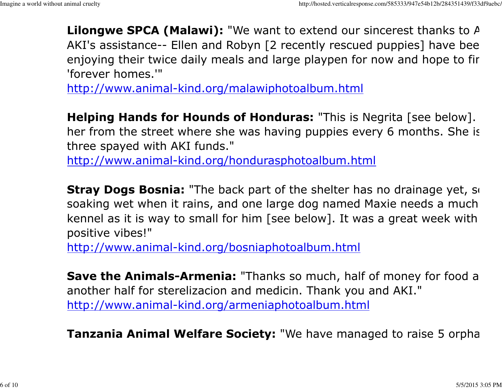**Lilongwe SPCA (Malawi):** "We want to extend our sincerest thanks to  $A$ AKI's assistance-- Ellen and Robyn [2 recently rescued puppies] have been enjoying their twice daily meals and large playpen for now and hope to fir 'forever homes.'"

http://www.animal-kind.org/malawiphotoalbum.html

**Helping Hands for Hounds of Honduras:** "This is Negrita [see below]. her from the street where she was having puppies every 6 months. She is three spayed with AKI funds."

http://www.animal-kind.org/hondurasphotoalbum.html

**Stray Dogs Bosnia:** "The back part of the shelter has no drainage yet, so soaking wet when it rains, and one large dog named Maxie needs a much kennel as it is way to small for him [see below]. It was a great week with positive vibes!"

http://www.animal-kind.org/bosniaphotoalbum.html

**Save the Animals-Armenia:** "Thanks so much, half of money for food a another half for sterelizacion and medicin. Thank you and AKI."http://www.animal-kind.org/armeniaphotoalbum.html

**Tanzania Animal Welfare Society:** "We have managed to raise 5 orpha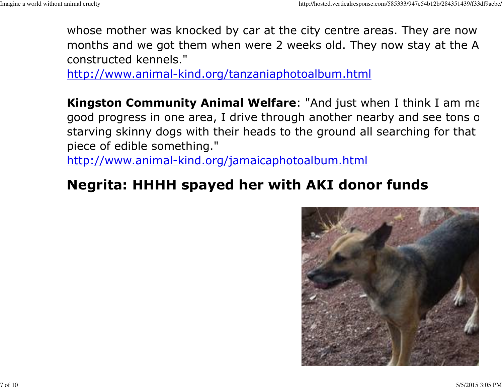whose mother was knocked by car at the city centre areas. They are now months and we got them when were 2 weeks old. They now stay at the A constructed kennels."

http://www.animal-kind.org/tanzaniaphotoalbum.html

Kingston Community Animal Welfare: "And just when I think I am making good progress in one area, I drive through another nearby and see tons of starving skinny dogs with their heads to the ground all searching for that piece of edible something."

http://www.animal-kind.org/jamaicaphotoalbum.html

### Negrita: HHHH spayed her with AKI donor funds

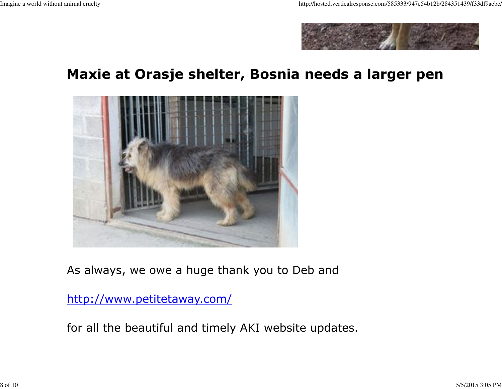

### Maxie at Orasje shelter, Bosnia needs a larger pen



As always, we owe a huge thank you to Deb and

http://www.petitetaway.com/

for all the beautiful and timely AKI website updates.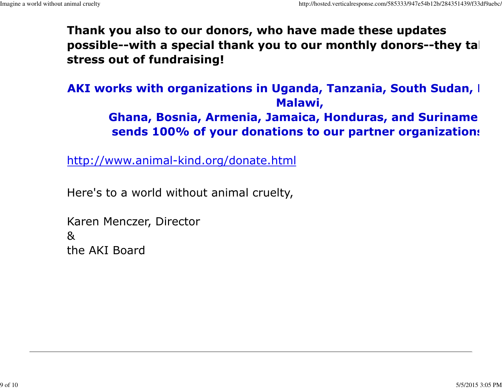Thank you also to our donors, who have made these updatespossible--with a special thank you to our monthly donors--they ta $\vdash$ stress out of fundraising!

AKI works with organizations in Uganda, Tanzania, South Sudan, I Malawi,

> Ghana, Bosnia, Armenia, Jamaica, Honduras, and Suriname &sends 100% of your donations to our partner organizations

http://www.animal-kind.org/donate.html

Here's to a world without animal cruelty,

Karen Menczer, Director&the AKI Board